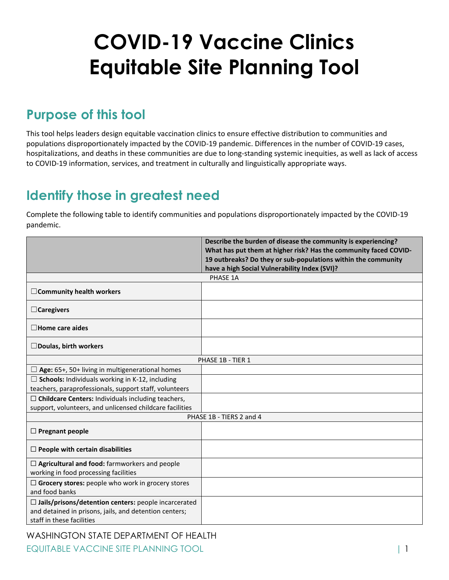# **COVID-19 Vaccine Clinics Equitable Site Planning Tool**

#### **Purpose of this tool**

This tool helps leaders design equitable vaccination clinics to ensure effective distribution to communities and populations disproportionately impacted by the COVID-19 pandemic. Differences in the number of COVID-19 cases, hospitalizations, and deaths in these communities are due to long-standing systemic inequities, as well as lack of access to COVID-19 information, services, and treatment in culturally and linguistically appropriate ways.

### **Identify those in greatest need**

Complete the following table to identify communities and populations disproportionately impacted by the COVID-19 pandemic.

|                                                                            | Describe the burden of disease the community is experiencing?    |
|----------------------------------------------------------------------------|------------------------------------------------------------------|
|                                                                            | What has put them at higher risk? Has the community faced COVID- |
|                                                                            | 19 outbreaks? Do they or sub-populations within the community    |
|                                                                            | have a high Social Vulnerability Index (SVI)?                    |
| PHASE 1A                                                                   |                                                                  |
| □ Community health workers                                                 |                                                                  |
| $\Box$ Caregivers                                                          |                                                                  |
| $\Box$ Home care aides                                                     |                                                                  |
| $\Box$ Doulas, birth workers                                               |                                                                  |
| PHASE 1B - TIER 1                                                          |                                                                  |
| $\Box$ Age: 65+, 50+ living in multigenerational homes                     |                                                                  |
| $\Box$ Schools: Individuals working in K-12, including                     |                                                                  |
| teachers, paraprofessionals, support staff, volunteers                     |                                                                  |
| $\Box$ Childcare Centers: Individuals including teachers,                  |                                                                  |
| support, volunteers, and unlicensed childcare facilities                   |                                                                  |
| PHASE 1B - TIERS 2 and 4                                                   |                                                                  |
| $\Box$ Pregnant people                                                     |                                                                  |
| $\Box$ People with certain disabilities                                    |                                                                  |
| $\Box$ Agricultural and food: farmworkers and people                       |                                                                  |
| working in food processing facilities                                      |                                                                  |
| $\Box$ Grocery stores: people who work in grocery stores<br>and food banks |                                                                  |
| $\Box$ Jails/prisons/detention centers: people incarcerated                |                                                                  |
| and detained in prisons, jails, and detention centers;                     |                                                                  |
| staff in these facilities                                                  |                                                                  |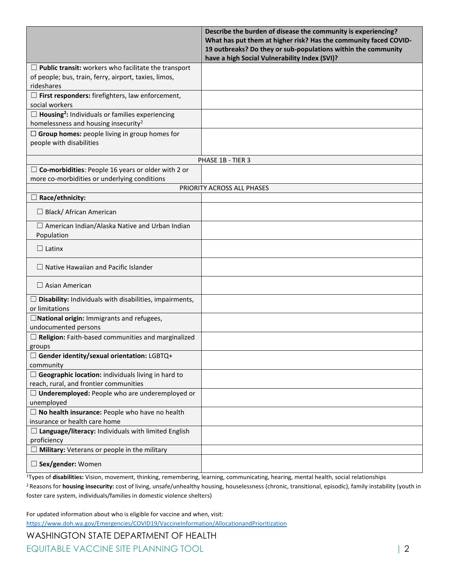|                                                                    | Describe the burden of disease the community is experiencing?    |
|--------------------------------------------------------------------|------------------------------------------------------------------|
|                                                                    | What has put them at higher risk? Has the community faced COVID- |
|                                                                    | 19 outbreaks? Do they or sub-populations within the community    |
|                                                                    | have a high Social Vulnerability Index (SVI)?                    |
| $\Box$ Public transit: workers who facilitate the transport        |                                                                  |
| of people; bus, train, ferry, airport, taxies, limos,              |                                                                  |
| rideshares                                                         |                                                                  |
| $\Box$ First responders: firefighters, law enforcement,            |                                                                  |
| social workers                                                     |                                                                  |
| $\Box$ Housing <sup>2</sup> : Individuals or families experiencing |                                                                  |
| homelessness and housing insecurity <sup>2</sup>                   |                                                                  |
| $\Box$ Group homes: people living in group homes for               |                                                                  |
| people with disabilities                                           |                                                                  |
|                                                                    |                                                                  |
| PHASE 1B - TIER 3                                                  |                                                                  |
| $\Box$ Co-morbidities: People 16 years or older with 2 or          |                                                                  |
| more co-morbidities or underlying conditions                       |                                                                  |
|                                                                    | PRIORITY ACROSS ALL PHASES                                       |
| $\Box$ Race/ethnicity:                                             |                                                                  |
| □ Black/ African American                                          |                                                                  |
|                                                                    |                                                                  |
| $\Box$ American Indian/Alaska Native and Urban Indian              |                                                                  |
| Population                                                         |                                                                  |
| $\Box$ Latinx                                                      |                                                                  |
| $\Box$ Native Hawaiian and Pacific Islander                        |                                                                  |
| $\Box$ Asian American                                              |                                                                  |
| $\Box$ Disability: Individuals with disabilities, impairments,     |                                                                  |
| or limitations                                                     |                                                                  |
| $\Box$ National origin: Immigrants and refugees,                   |                                                                  |
| undocumented persons                                               |                                                                  |
| $\Box$ Religion: Faith-based communities and marginalized          |                                                                  |
| groups                                                             |                                                                  |
| □ Gender identity/sexual orientation: LGBTQ+                       |                                                                  |
| community                                                          |                                                                  |
| $\Box$ Geographic location: individuals living in hard to          |                                                                  |
| reach, rural, and frontier communities                             |                                                                  |
| $\Box$ Underemployed: People who are underemployed or              |                                                                  |
| unemployed                                                         |                                                                  |
| $\Box$ No health insurance: People who have no health              |                                                                  |
| insurance or health care home                                      |                                                                  |
| $\Box$ Language/literacy: Individuals with limited English         |                                                                  |
| proficiency                                                        |                                                                  |
| $\Box$ Military: Veterans or people in the military                |                                                                  |
| $\square$ Sex/gender: Women                                        |                                                                  |

<sup>1</sup>Types of **disabilities:** Vision, movement, thinking, remembering, learning, communicating, hearing, mental health, social relationships <sup>2</sup> Reasons for housing insecurity: cost of living, unsafe/unhealthy housing, houselessness (chronic, transitional, episodic), family instability (youth in foster care system, individuals/families in domestic violence shelters)

For updated information about who is eligible for vaccine and when, visit: <https://www.doh.wa.gov/Emergencies/COVID19/VaccineInformation/AllocationandPrioritization>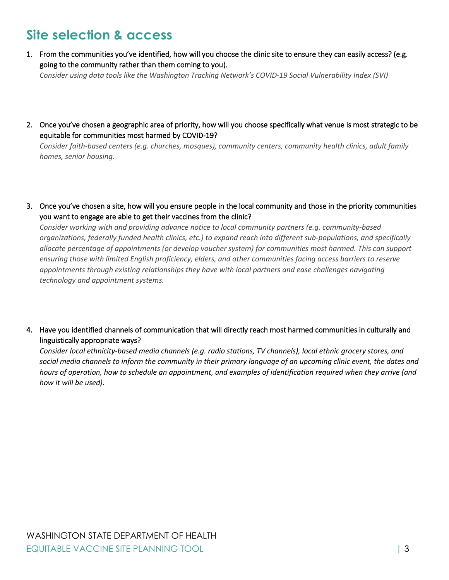# **Site selection & access**

1. From the communities you've identified, how will you choose the clinic site to ensure they can easily access? (e.g. going to the community rather than them coming to you).

*Consider using data tools like the [Washington Tracking Network](https://fortress.wa.gov/doh/wtn/WTNIBL/)'s COVID-19 [Social Vulnerability Index](https://fortress.wa.gov/doh/wtn/WTNIBL/) (SVI)*

2. Once you've chosen a geographic area of priority, how will you choose specifically what venue is most strategic to be equitable for communities most harmed by COVID-19?

*Consider faith-based centers (e.g. churches, mosques), community centers, community health clinics, adult family homes, senior housing.*

3. Once you've chosen a site, how will you ensure people in the local community and those in the priority communities you want to engage are able to get their vaccines from the clinic?

*Consider working with and providing advance notice to local community partners (e.g. community-based organizations, federally funded health clinics, etc.) to expand reach into different sub-populations, and specifically allocate percentage of appointments (or develop voucher system) for communities most harmed. This can support ensuring those with limited English proficiency, elders, and other communities facing access barriers to reserve appointments through existing relationships they have with local partners and ease challenges navigating technology and appointment systems.*

4. Have you identified channels of communication that will directly reach most harmed communities in culturally and linguistically appropriate ways?

*Consider local ethnicity-based media channels (e.g. radio stations, TV channels), local ethnic grocery stores, and social media channels to inform the community in their primary language of an upcoming clinic event, the dates and hours of operation, how to schedule an appointment, and examples of identification required when they arrive (and how it will be used).*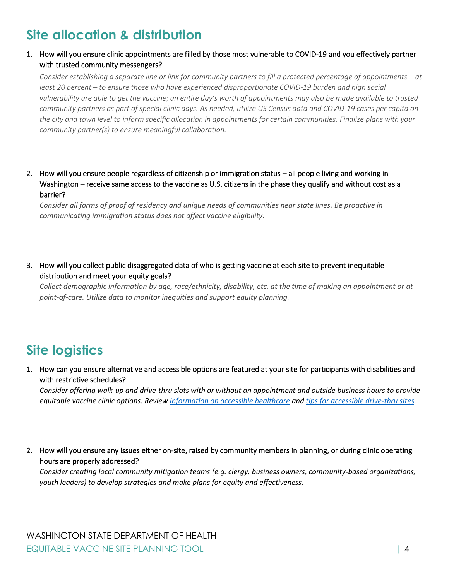# **Site allocation & distribution**

#### 1. How will you ensure clinic appointments are filled by those most vulnerable to COVID-19 and you effectively partner with trusted community messengers?

*Consider establishing a separate line or link for community partners to fill a protected percentage of appointments – at least 20 percent – to ensure those who have experienced disproportionate COVID-19 burden and high social vulnerability are able to get the vaccine; an entire day's worth of appointments may also be made available to trusted community partners as part of special clinic days. As needed, utilize US Census data and COVID-19 cases per capita on the city and town level to inform specific allocation in appointments for certain communities. Finalize plans with your community partner(s) to ensure meaningful collaboration.*

2. How will you ensure people regardless of citizenship or immigration status – all people living and working in Washington – receive same access to the vaccine as U.S. citizens in the phase they qualify and without cost as a barrier?

*Consider all forms of proof of residency and unique needs of communities near state lines. Be proactive in communicating immigration status does not affect vaccine eligibility.*

3. How will you collect public disaggregated data of who is getting vaccine at each site to prevent inequitable distribution and meet your equity goals?

*Collect demographic information by age, race/ethnicity, disability, etc. at the time of making an appointment or at point-of-care. Utilize data to monitor inequities and support equity planning.*

# **Site logistics**

1. How can you ensure alternative and accessible options are featured at your site for participants with disabilities and with restrictive schedules?

*Consider offering walk-up and drive-thru slots with or without an appointment and outside business hours to provide equitable vaccine clinic options. Review [information on accessible healthcare](https://nwadacenter.org/audience/healthcare-access) and [tips for accessible drive-thru sites.](https://nwadacenter.org/factsheet/accessibility-drive-thru-medical-sites)*

2. How will you ensure any issues either on-site, raised by community members in planning, or during clinic operating hours are properly addressed?

*Consider creating local community mitigation teams (e.g. clergy, business owners, community-based organizations, youth leaders) to develop strategies and make plans for equity and effectiveness.*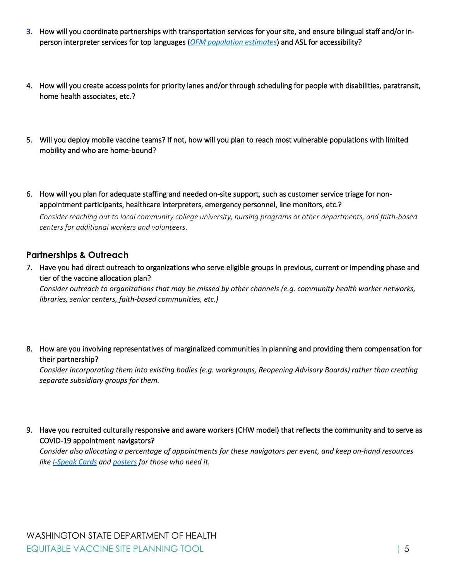- 3. How will you coordinate partnerships with transportation services for your site, and ensure bilingual staff and/or inperson interpreter services for top languages (*[OFM population estimates](https://ofm.wa.gov/washington-data-research/population-demographics/population-estimates)*) and ASL for accessibility?
- 4. How will you create access points for priority lanes and/or through scheduling for people with disabilities, paratransit, home health associates, etc.?
- 5. Will you deploy mobile vaccine teams? If not, how will you plan to reach most vulnerable populations with limited mobility and who are home-bound?
- 6. How will you plan for adequate staffing and needed on-site support, such as customer service triage for nonappointment participants, healthcare interpreters, emergency personnel, line monitors, etc.?

*Consider reaching out to local community college university, nursing programs or other departments, and faith-based centers for additional workers and volunteers*.

#### **Partnerships & Outreach**

7. Have you had direct outreach to organizations who serve eligible groups in previous, current or impending phase and tier of the vaccine allocation plan?

*Consider outreach to organizations that may be missed by other channels (e.g. community health worker networks, libraries, senior centers, faith-based communities, etc.)*

8. How are you involving representatives of marginalized communities in planning and providing them compensation for their partnership?

*Consider incorporating them into existing bodies (e.g. workgroups, Reopening Advisory Boards) rather than creating separate subsidiary groups for them.*

9. Have you recruited culturally responsive and aware workers (CHW model) that reflects the community and to serve as COVID-19 appointment navigators?

*Consider also allocating a percentage of appointments for these navigators per event, and keep on-hand resources like [I-Speak Cards](https://www.wascla.org/ispeak/) and [posters](https://www.dhs.gov/sites/default/files/publications/blue-campaign/materials/posters/bc-poster-18x24-ispeak.pdf) for those who need it.*